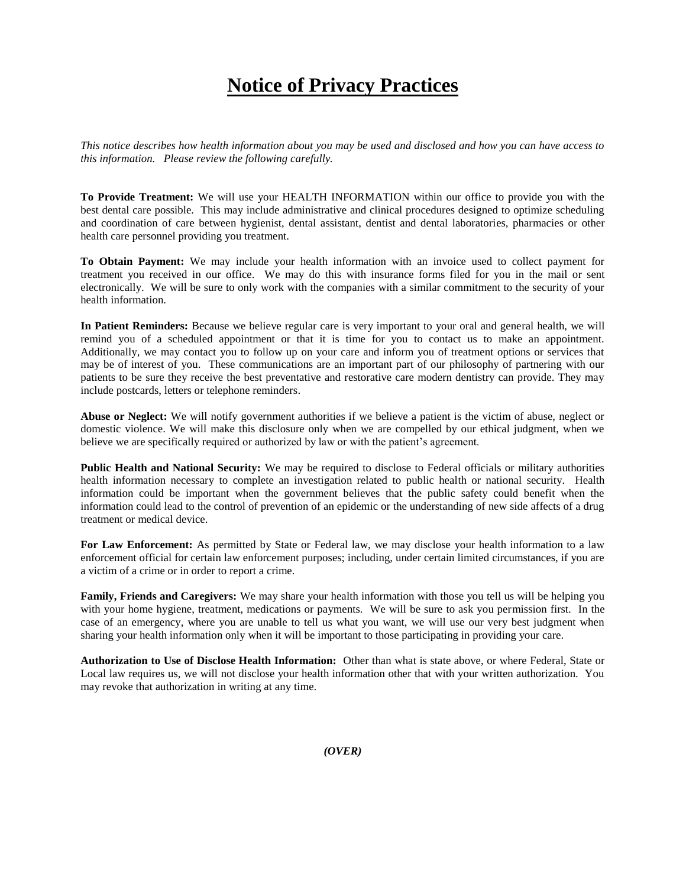## **Notice of Privacy Practices**

*This notice describes how health information about you may be used and disclosed and how you can have access to this information. Please review the following carefully.*

**To Provide Treatment:** We will use your HEALTH INFORMATION within our office to provide you with the best dental care possible. This may include administrative and clinical procedures designed to optimize scheduling and coordination of care between hygienist, dental assistant, dentist and dental laboratories, pharmacies or other health care personnel providing you treatment.

**To Obtain Payment:** We may include your health information with an invoice used to collect payment for treatment you received in our office. We may do this with insurance forms filed for you in the mail or sent electronically. We will be sure to only work with the companies with a similar commitment to the security of your health information.

**In Patient Reminders:** Because we believe regular care is very important to your oral and general health, we will remind you of a scheduled appointment or that it is time for you to contact us to make an appointment. Additionally, we may contact you to follow up on your care and inform you of treatment options or services that may be of interest of you. These communications are an important part of our philosophy of partnering with our patients to be sure they receive the best preventative and restorative care modern dentistry can provide. They may include postcards, letters or telephone reminders.

**Abuse or Neglect:** We will notify government authorities if we believe a patient is the victim of abuse, neglect or domestic violence. We will make this disclosure only when we are compelled by our ethical judgment, when we believe we are specifically required or authorized by law or with the patient's agreement.

**Public Health and National Security:** We may be required to disclose to Federal officials or military authorities health information necessary to complete an investigation related to public health or national security. Health information could be important when the government believes that the public safety could benefit when the information could lead to the control of prevention of an epidemic or the understanding of new side affects of a drug treatment or medical device.

**For Law Enforcement:** As permitted by State or Federal law, we may disclose your health information to a law enforcement official for certain law enforcement purposes; including, under certain limited circumstances, if you are a victim of a crime or in order to report a crime.

**Family, Friends and Caregivers:** We may share your health information with those you tell us will be helping you with your home hygiene, treatment, medications or payments. We will be sure to ask you permission first. In the case of an emergency, where you are unable to tell us what you want, we will use our very best judgment when sharing your health information only when it will be important to those participating in providing your care.

**Authorization to Use of Disclose Health Information:** Other than what is state above, or where Federal, State or Local law requires us, we will not disclose your health information other that with your written authorization. You may revoke that authorization in writing at any time.

*(OVER)*